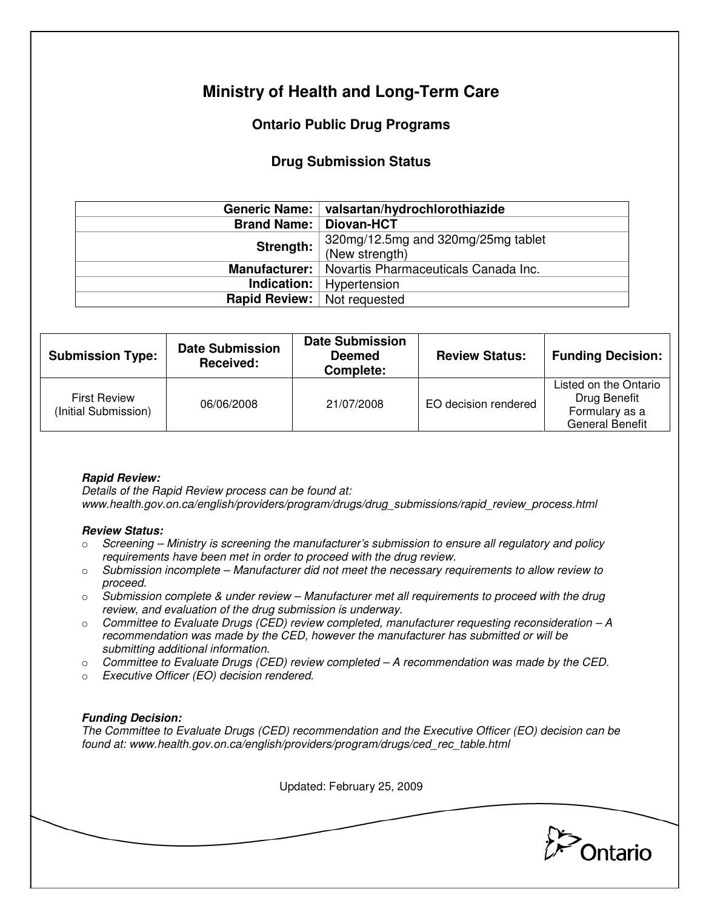# **Ministry of Health and Long-Term Care**

## **Ontario Public Drug Programs**

## **Drug Submission Status**

|                                                         | Generic Name:   valsartan/hydrochlorothiazide |  |
|---------------------------------------------------------|-----------------------------------------------|--|
| <b>Brand Name:</b>                                      | <b>Diovan-HCT</b>                             |  |
| Strength:                                               | 320mg/12.5mg and 320mg/25mg tablet            |  |
|                                                         | (New strength)                                |  |
| Manufacturer:  <br>Novartis Pharmaceuticals Canada Inc. |                                               |  |
|                                                         | <b>Indication:</b>   Hypertension             |  |
| <b>Rapid Review:</b>   Not requested                    |                                               |  |

| <b>Submission Type:</b>                     | <b>Date Submission</b><br>Received: | <b>Date Submission</b><br><b>Deemed</b><br>Complete: | <b>Review Status:</b> | <b>Funding Decision:</b>                                                          |
|---------------------------------------------|-------------------------------------|------------------------------------------------------|-----------------------|-----------------------------------------------------------------------------------|
| <b>First Review</b><br>(Initial Submission) | 06/06/2008                          | 21/07/2008                                           | EO decision rendered  | Listed on the Ontario<br>Drug Benefit<br>Formulary as a<br><b>General Benefit</b> |

### **Rapid Review:**

Details of the Rapid Review process can be found at: www.health.gov.on.ca/english/providers/program/drugs/drug\_submissions/rapid\_review\_process.html

#### **Review Status:**

- $\circ$  Screening Ministry is screening the manufacturer's submission to ensure all regulatory and policy requirements have been met in order to proceed with the drug review.
- $\circ$  Submission incomplete Manufacturer did not meet the necessary requirements to allow review to proceed.
- $\circ$  Submission complete & under review Manufacturer met all requirements to proceed with the drug review, and evaluation of the drug submission is underway.
- $\circ$  Committee to Evaluate Drugs (CED) review completed, manufacturer requesting reconsideration  $-A$ recommendation was made by the CED, however the manufacturer has submitted or will be submitting additional information.
- $\circ$  Committee to Evaluate Drugs (CED) review completed A recommendation was made by the CED.
- o Executive Officer (EO) decision rendered.

### **Funding Decision:**

The Committee to Evaluate Drugs (CED) recommendation and the Executive Officer (EO) decision can be found at: www.health.gov.on.ca/english/providers/program/drugs/ced\_rec\_table.html

Updated: February 25, 2009

Ontario